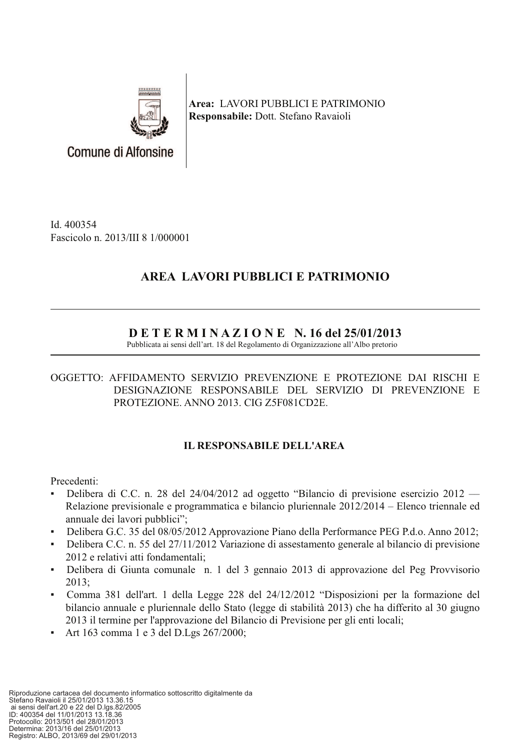

Area: LAVORI PUBBLICI E PATRIMONIO Responsabile: Dott. Stefano Ravaioli

Id. 400354 Fascicolo n. 2013/III 8 1/000001

**Comune di Alfonsine** 

# AREA LAVORI PUBBLICI E PATRIMONIO

# $D$  E T E R M I N A Z I O N E N. 16 del 25/01/2013

Pubblicata ai sensi dell'art. 18 del Regolamento di Organizzazione all'Albo pretorio

### OGGETTO: AFFIDAMENTO SERVIZIO PREVENZIONE E PROTEZIONE DAI RISCHI E DESIGNAZIONE RESPONSABILE DEL SERVIZIO DI PREVENZIONE E PROTEZIONE. ANNO 2013. CIG Z5F081CD2E.

## **IL RESPONSABILE DELL'AREA**

Precedenti:

- Delibera di C.C. n. 28 del 24/04/2012 ad oggetto "Bilancio di previsione esercizio 2012  $\blacksquare$ Relazione previsionale e programmatica e bilancio pluriennale 2012/2014 – Elenco triennale ed annuale dei lavori pubblici";
- Delibera G.C. 35 del 08/05/2012 Approvazione Piano della Performance PEG P.d.o. Anno 2012;
- Delibera C.C. n. 55 del 27/11/2012 Variazione di assestamento generale al bilancio di previsione 2012 e relativi atti fondamentali:
- Delibera di Giunta comunale n. 1 del 3 gennaio 2013 di approvazione del Peg Provvisorio  $2013:$
- Comma 381 dell'art. 1 della Legge 228 del 24/12/2012 "Disposizioni per la formazione del bilancio annuale e pluriennale dello Stato (legge di stabilità 2013) che ha differito al 30 giugno 2013 il termine per l'approvazione del Bilancio di Previsione per gli enti locali;
- Art 163 comma 1 e 3 del D.Lgs  $267/2000$ ;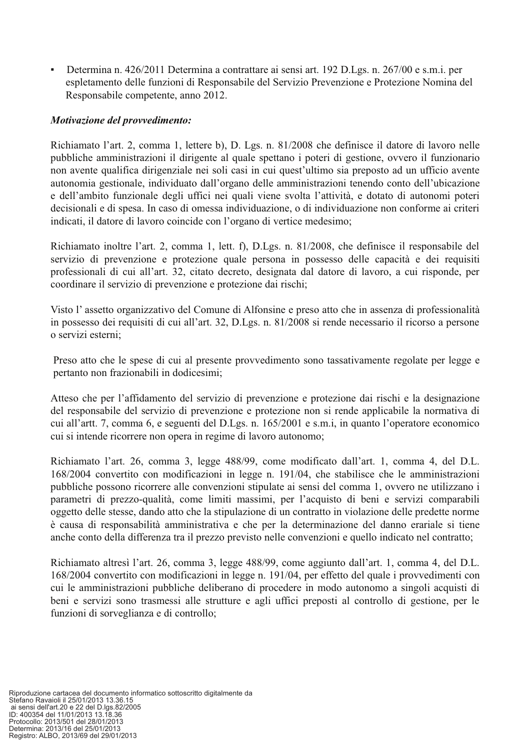Determina n. 426/2011 Determina a contrattare ai sensi art. 192 D.Lgs. n. 267/00 e s.m.i. per espletamento delle funzioni di Responsabile del Servizio Prevenzione e Protezione Nomina del Responsabile competente, anno 2012.

#### Motivazione del provvedimento:

Richiamato l'art. 2, comma 1, lettere b), D. Lgs. n. 81/2008 che definisce il datore di lavoro nelle pubbliche amministrazioni il dirigente al quale spettano i poteri di gestione, ovvero il funzionario non avente qualifica dirigenziale nei soli casi in cui quest'ultimo sia preposto ad un ufficio avente autonomia gestionale, individuato dall'organo delle amministrazioni tenendo conto dell'ubicazione e dell'ambito funzionale degli uffici nei quali viene svolta l'attività, e dotato di autonomi poteri decisionali e di spesa. In caso di omessa individuazione, o di individuazione non conforme ai criteri indicati, il datore di lavoro coincide con l'organo di vertice medesimo;

Richiamato inoltre l'art. 2, comma 1, lett. f), D.Lgs. n. 81/2008, che definisce il responsabile del servizio di prevenzione e protezione quale persona in possesso delle capacità e dei requisiti professionali di cui all'art. 32, citato decreto, designata dal datore di lavoro, a cui risponde, per coordinare il servizio di prevenzione e protezione dai rischi;

Visto l'assetto organizzativo del Comune di Alfonsine e preso atto che in assenza di professionalità in possesso dei requisiti di cui all'art. 32, D.Lgs. n. 81/2008 si rende necessario il ricorso a persone o servizi esterni;

Preso atto che le spese di cui al presente provvedimento sono tassativamente regolate per legge e pertanto non frazionabili in dodicesimi;

Atteso che per l'affidamento del servizio di prevenzione e protezione dai rischi e la designazione del responsabile del servizio di prevenzione e protezione non si rende applicabile la normativa di cui all'artt. 7, comma 6, e seguenti del D.Lgs. n. 165/2001 e s.m.i, in quanto l'operatore economico cui si intende ricorrere non opera in regime di lavoro autonomo;

Richiamato l'art. 26, comma 3, legge 488/99, come modificato dall'art. 1, comma 4, del D.L. 168/2004 convertito con modificazioni in legge n. 191/04, che stabilisce che le amministrazioni pubbliche possono ricorrere alle convenzioni stipulate ai sensi del comma 1, ovvero ne utilizzano i parametri di prezzo-qualità, come limiti massimi, per l'acquisto di beni e servizi comparabili oggetto delle stesse, dando atto che la stipulazione di un contratto in violazione delle predette norme è causa di responsabilità amministrativa e che per la determinazione del danno erariale si tiene anche conto della differenza tra il prezzo previsto nelle convenzioni e quello indicato nel contratto;

Richiamato altresì l'art. 26, comma 3, legge 488/99, come aggiunto dall'art. 1, comma 4, del D.L. 168/2004 convertito con modificazioni in legge n. 191/04, per effetto del quale i provvedimenti con cui le amministrazioni pubbliche deliberano di procedere in modo autonomo a singoli acquisti di beni e servizi sono trasmessi alle strutture e agli uffici preposti al controllo di gestione, per le funzioni di sorveglianza e di controllo;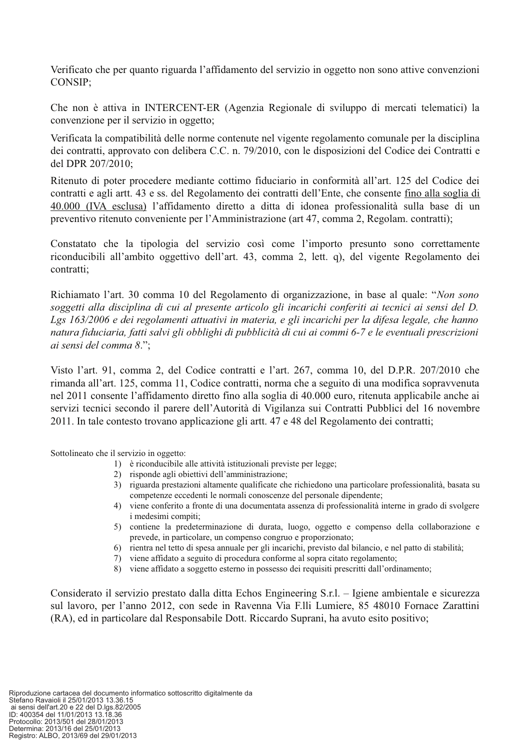Verificato che per quanto riguarda l'affidamento del servizio in oggetto non sono attive convenzioni CONSIP;

Che non è attiva in INTERCENT-ER (Agenzia Regionale di sviluppo di mercati telematici) la convenzione per il servizio in oggetto;

Verificata la compatibilità delle norme contenute nel vigente regolamento comunale per la disciplina dei contratti, approvato con delibera C.C. n. 79/2010, con le disposizioni del Codice dei Contratti e del DPR 207/2010;

Ritenuto di poter procedere mediante cottimo fiduciario in conformità all'art. 125 del Codice dei contratti e agli artt. 43 e ss. del Regolamento dei contratti dell'Ente, che consente fino alla soglia di 40.000 (IVA esclusa) l'affidamento diretto a ditta di idonea professionalità sulla base di un preventivo ritenuto conveniente per l'Amministrazione (art 47, comma 2, Regolam. contratti);

Constatato che la tipologia del servizio così come l'importo presunto sono correttamente riconducibili all'ambito oggettivo dell'art. 43, comma 2, lett. q), del vigente Regolamento dei contratti:

Richiamato l'art. 30 comma 10 del Regolamento di organizzazione, in base al quale: "Non sono soggetti alla disciplina di cui al presente articolo gli incarichi conferiti ai tecnici ai sensi del D. Lgs 163/2006 e dei regolamenti attuativi in materia, e gli incarichi per la difesa legale, che hanno natura fiduciaria, fatti salvi gli obblighi di pubblicità di cui ai commi 6-7 e le eventuali prescrizioni ai sensi del comma 8.";

Visto l'art. 91, comma 2, del Codice contratti e l'art. 267, comma 10, del D.P.R. 207/2010 che rimanda all'art. 125, comma 11, Codice contratti, norma che a seguito di una modifica sopravvenuta nel 2011 consente l'affidamento diretto fino alla soglia di 40.000 euro, ritenuta applicabile anche ai servizi tecnici secondo il parere dell'Autorità di Vigilanza sui Contratti Pubblici del 16 novembre 2011. In tale contesto trovano applicazione gli artt. 47 e 48 del Regolamento dei contratti;

Sottolineato che il servizio in oggetto:

- 1) è riconducibile alle attività istituzionali previste per legge;
- 2) risponde agli objettivi dell'amministrazione:
- 3) riguarda prestazioni altamente qualificate che richiedono una particolare professionalità, basata su competenze eccedenti le normali conoscenze del personale dipendente;
- 4) viene conferito a fronte di una documentata assenza di professionalità interne in grado di svolgere i medesimi compiti:
- 5) contiene la predeterminazione di durata, luogo, oggetto e compenso della collaborazione e prevede, in particolare, un compenso congruo e proporzionato;
- 6) rientra nel tetto di spesa annuale per gli incarichi, previsto dal bilancio, e nel patto di stabilità;
- 7) viene affidato a seguito di procedura conforme al sopra citato regolamento;
- 8) viene affidato a soggetto esterno in possesso dei requisiti prescritti dall'ordinamento;

Considerato il servizio prestato dalla ditta Echos Engineering S.r.l. – Igiene ambientale e sicurezza sul lavoro, per l'anno 2012, con sede in Ravenna Via F.lli Lumiere, 85 48010 Fornace Zarattini (RA), ed in particolare dal Responsabile Dott. Riccardo Suprani, ha avuto esito positivo;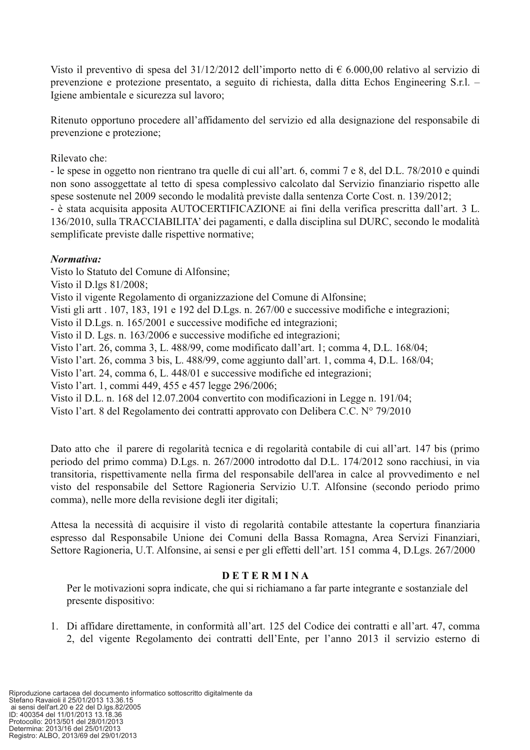Visto il preventivo di spesa del 31/12/2012 dell'importo netto di  $\epsilon$  6.000,00 relativo al servizio di prevenzione e protezione presentato, a seguito di richiesta, dalla ditta Echos Engineering S.r.l. -Igiene ambientale e sicurezza sul lavoro;

Ritenuto opportuno procedere all'affidamento del servizio ed alla designazione del responsabile di prevenzione e protezione:

#### Rilevato che:

- le spese in oggetto non rientrano tra quelle di cui all'art. 6, commi 7 e 8, del D.L. 78/2010 e quindi non sono assoggettate al tetto di spesa complessivo calcolato dal Servizio finanziario rispetto alle spese sostenute nel 2009 secondo le modalità previste dalla sentenza Corte Cost. n. 139/2012;

- è stata acquisita apposita AUTOCERTIFICAZIONE ai fini della verifica prescritta dall'art. 3 L. 136/2010, sulla TRACCIABILITA' dei pagamenti, e dalla disciplina sul DURC, secondo le modalità semplificate previste dalle rispettive normative;

#### Normativa:

Visto lo Statuto del Comune di Alfonsine;

Visto il D.lgs 81/2008;

Visto il vigente Regolamento di organizzazione del Comune di Alfonsine;

Visti gli artt . 107, 183, 191 e 192 del D.Lgs. n. 267/00 e successive modifiche e integrazioni;

Visto il D.Lgs. n. 165/2001 e successive modifiche ed integrazioni;

Visto il D. Lgs. n. 163/2006 e successive modifiche ed integrazioni;

Visto l'art. 26, comma 3, L. 488/99, come modificato dall'art. 1; comma 4, D.L. 168/04;

Visto l'art. 26, comma 3 bis, L. 488/99, come aggiunto dall'art. 1, comma 4, D.L. 168/04;

Visto l'art. 24, comma 6, L. 448/01 e successive modifiche ed integrazioni;

Visto l'art. 1, commi 449, 455 e 457 legge 296/2006;

Visto il D.L. n. 168 del 12.07.2004 convertito con modificazioni in Legge n. 191/04;

Visto l'art. 8 del Regolamento dei contratti approvato con Delibera C.C. Nº 79/2010

Dato atto che il parere di regolarità tecnica e di regolarità contabile di cui all'art. 147 bis (primo periodo del primo comma) D.Lgs. n. 267/2000 introdotto dal D.L. 174/2012 sono racchiusi, in via transitoria, rispettivamente nella firma del responsabile dell'area in calce al provvedimento e nel visto del responsabile del Settore Ragioneria Servizio U.T. Alfonsine (secondo periodo primo comma), nelle more della revisione degli iter digitali;

Attesa la necessità di acquisire il visto di regolarità contabile attestante la copertura finanziaria espresso dal Responsabile Unione dei Comuni della Bassa Romagna, Area Servizi Finanziari, Settore Ragioneria, U.T. Alfonsine, ai sensi e per gli effetti dell'art. 151 comma 4, D.Lgs. 267/2000

### **DETERMINA**

Per le motivazioni sopra indicate, che qui si richiamano a far parte integrante e sostanziale del presente dispositivo:

1. Di affidare direttamente, in conformità all'art. 125 del Codice dei contratti e all'art. 47, comma 2, del vigente Regolamento dei contratti dell'Ente, per l'anno 2013 il servizio esterno di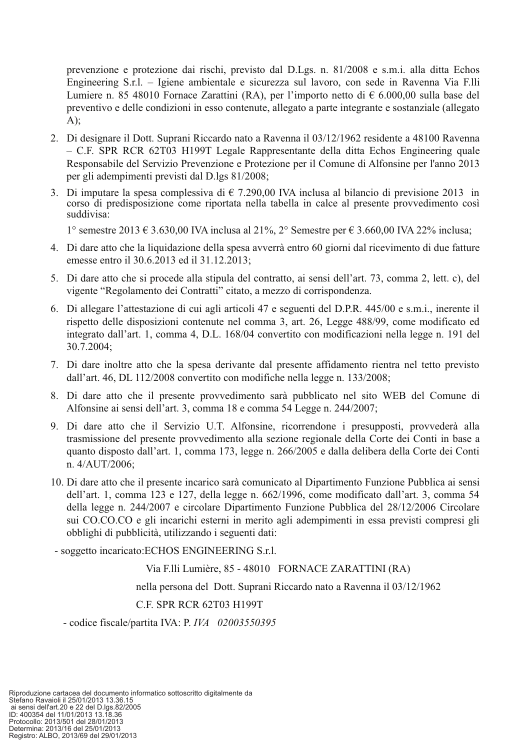prevenzione e protezione dai rischi, previsto dal D.Lgs. n. 81/2008 e s.m.i. alla ditta Echos Engineering S.r.l. – Igiene ambientale e sicurezza sul lavoro, con sede in Ravenna Via F.lli Lumiere n. 85 48010 Fornace Zarattini (RA), per l'importo netto di  $\epsilon$  6.000,00 sulla base del preventivo e delle condizioni in esso contenute, allegato a parte integrante e sostanziale (allegato  $A)$ ;

- 2. Di designare il Dott. Suprani Riccardo nato a Ravenna il 03/12/1962 residente a 48100 Ravenna - C.F. SPR RCR 62T03 H199T Legale Rappresentante della ditta Echos Engineering quale Responsabile del Servizio Prevenzione e Protezione per il Comune di Alfonsine per l'anno 2013 per gli adempimenti previsti dal D.lgs 81/2008;
- 3. Di imputare la spesa complessiva di  $\epsilon$  7.290,00 IVA inclusa al bilancio di previsione 2013 in corso di predisposizione come riportata nella tabella in calce al presente provvedimento così suddivisa:

1° semestre 2013 € 3.630,00 IVA inclusa al 21%, 2° Semestre per € 3.660,00 IVA 22% inclusa;

- 4. Di dare atto che la liquidazione della spesa avverrà entro 60 giorni dal ricevimento di due fatture emesse entro il 30.6.2013 ed il 31.12.2013;
- 5. Di dare atto che si procede alla stipula del contratto, ai sensi dell'art. 73, comma 2, lett. c), del vigente "Regolamento dei Contratti" citato, a mezzo di corrispondenza.
- 6. Di allegare l'attestazione di cui agli articoli 47 e seguenti del D.P.R. 445/00 e s.m.i., inerente il rispetto delle disposizioni contenute nel comma 3, art. 26, Legge 488/99, come modificato ed integrato dall'art. 1, comma 4, D.L. 168/04 convertito con modificazioni nella legge n. 191 del 30.7.2004:
- 7. Di dare inoltre atto che la spesa derivante dal presente affidamento rientra nel tetto previsto dall'art. 46, DL 112/2008 convertito con modifiche nella legge n. 133/2008;
- 8. Di dare atto che il presente provvedimento sarà pubblicato nel sito WEB del Comune di Alfonsine ai sensi dell'art. 3, comma 18 e comma 54 Legge n. 244/2007;
- 9. Di dare atto che il Servizio U.T. Alfonsine, ricorrendone i presupposti, provvederà alla trasmissione del presente provvedimento alla sezione regionale della Corte dei Conti in base a quanto disposto dall'art. 1, comma 173, legge n. 266/2005 e dalla delibera della Corte dei Conti n. 4/AUT/2006;
- 10. Di dare atto che il presente incarico sarà comunicato al Dipartimento Funzione Pubblica ai sensi dell'art. 1, comma 123 e 127, della legge n. 662/1996, come modificato dall'art. 3, comma 54 della legge n. 244/2007 e circolare Dipartimento Funzione Pubblica del 28/12/2006 Circolare sui CO.CO.CO e gli incarichi esterni in merito agli adempimenti in essa previsti compresi gli obblighi di pubblicità, utilizzando i seguenti dati:

- soggetto incaricato: ECHOS ENGINEERING S.r.l.

Via F.Ili Lumière, 85 - 48010 FORNACE ZARATTINI (RA)

nella persona del Dott. Suprani Riccardo nato a Ravenna il 03/12/1962

C.F. SPR RCR 62T03 H199T

- codice fiscale/partita IVA: P. IVA  $02003550395$